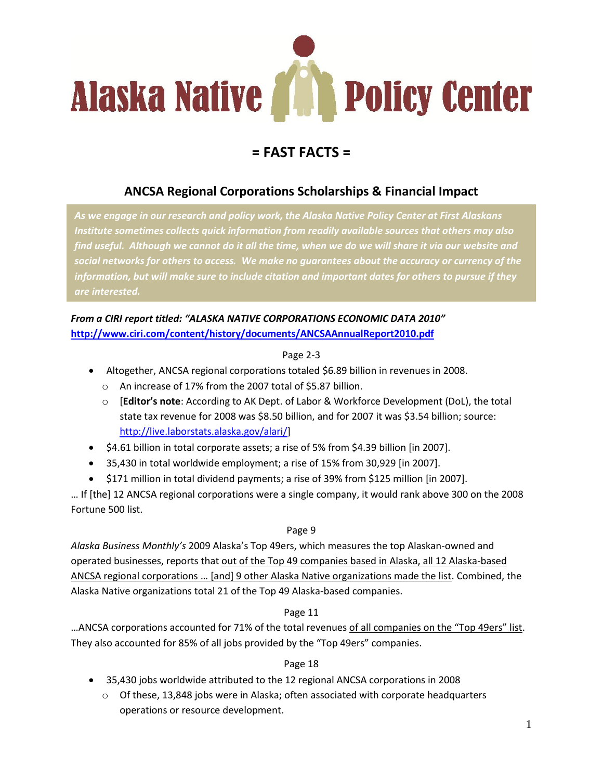

# **= FAST FACTS =**

# **ANCSA Regional Corporations Scholarships & Financial Impact**

*As we engage in our research and policy work, the Alaska Native Policy Center at First Alaskans Institute sometimes collects quick information from readily available sources that others may also find useful. Although we cannot do it all the time, when we do we will share it via our website and social networks for others to access. We make no guarantees about the accuracy or currency of the information, but will make sure to include citation and important dates for others to pursue if they* 

## *From a CIRI report titled: "ALASKA NATIVE CORPORATIONS ECONOMIC DATA 2010"* **<http://www.ciri.com/content/history/documents/ANCSAAnnualReport2010.pdf>**

#### Page 2-3

- Altogether, ANCSA regional corporations totaled \$6.89 billion in revenues in 2008.
	- o An increase of 17% from the 2007 total of \$5.87 billion.
	- o [**Editor's note**: According to AK Dept. of Labor & Workforce Development (DoL), the total state tax revenue for 2008 was \$8.50 billion, and for 2007 it was \$3.54 billion; source: [http://live.laborstats.alaska.gov/alari/\]](http://live.laborstats.alaska.gov/alari/)
- \$4.61 billion in total corporate assets; a rise of 5% from \$4.39 billion [in 2007].
- 35,430 in total worldwide employment; a rise of 15% from 30,929 [in 2007].
- \$171 million in total dividend payments; a rise of 39% from \$125 million [in 2007].

… If [the] 12 ANCSA regional corporations were a single company, it would rank above 300 on the 2008 Fortune 500 list.

#### Page 9

*Alaska Business Monthly's* 2009 Alaska's Top 49ers, which measures the top Alaskan-owned and operated businesses, reports that out of the Top 49 companies based in Alaska, all 12 Alaska-based ANCSA regional corporations … [and] 9 other Alaska Native organizations made the list. Combined, the Alaska Native organizations total 21 of the Top 49 Alaska-based companies.

#### Page 11

...ANCSA corporations accounted for 71% of the total revenues of all companies on the "Top 49ers" list. They also accounted for 85% of all jobs provided by the "Top 49ers" companies.

#### Page 18

- 35,430 jobs worldwide attributed to the 12 regional ANCSA corporations in 2008
	- $\circ$  Of these, 13,848 jobs were in Alaska; often associated with corporate headquarters operations or resource development.